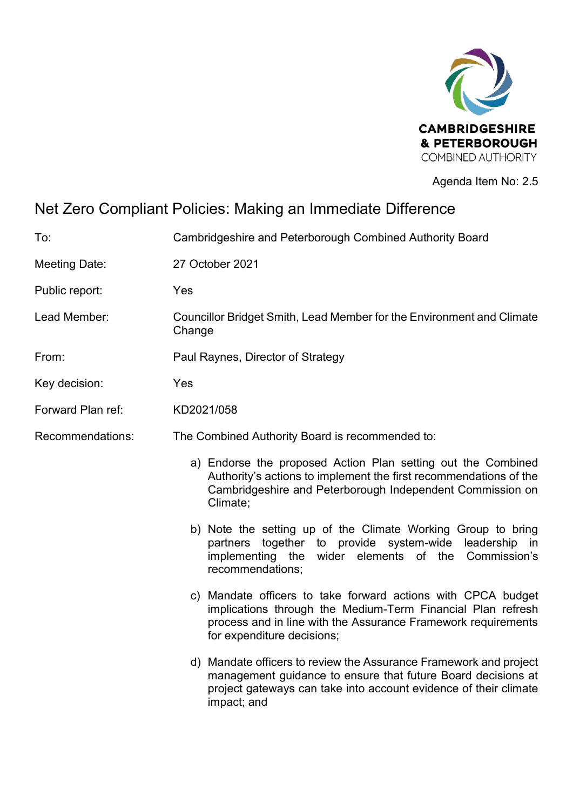

Agenda Item No: 2.5

# Net Zero Compliant Policies: Making an Immediate Difference

| To:                  | Cambridgeshire and Peterborough Combined Authority Board                                                                                                                                                                   |  |
|----------------------|----------------------------------------------------------------------------------------------------------------------------------------------------------------------------------------------------------------------------|--|
| <b>Meeting Date:</b> | 27 October 2021                                                                                                                                                                                                            |  |
| Public report:       | Yes                                                                                                                                                                                                                        |  |
| Lead Member:         | Councillor Bridget Smith, Lead Member for the Environment and Climate<br>Change                                                                                                                                            |  |
| From:                | Paul Raynes, Director of Strategy                                                                                                                                                                                          |  |
| Key decision:        | Yes                                                                                                                                                                                                                        |  |
| Forward Plan ref:    | KD2021/058                                                                                                                                                                                                                 |  |
| Recommendations:     | The Combined Authority Board is recommended to:                                                                                                                                                                            |  |
|                      | a) Endorse the proposed Action Plan setting out the Combined<br>Authority's actions to implement the first recommendations of the<br>Cambridgeshire and Peterborough Independent Commission on<br>Climate;                 |  |
|                      | b) Note the setting up of the Climate Working Group to bring<br>partners together to provide system-wide leadership in<br>implementing the wider elements of the Commission's<br>recommendations:                          |  |
|                      | c) Mandate officers to take forward actions with CPCA budget<br>implications through the Medium-Term Financial Plan refresh<br>process and in line with the Assurance Framework requirements<br>for expenditure decisions; |  |
|                      | d) Mandate officers to review the Assurance Framework and project<br>management guidance to ensure that future Board decisions at<br>project gateways can take into account evidence of their climate<br>impact; and       |  |
|                      |                                                                                                                                                                                                                            |  |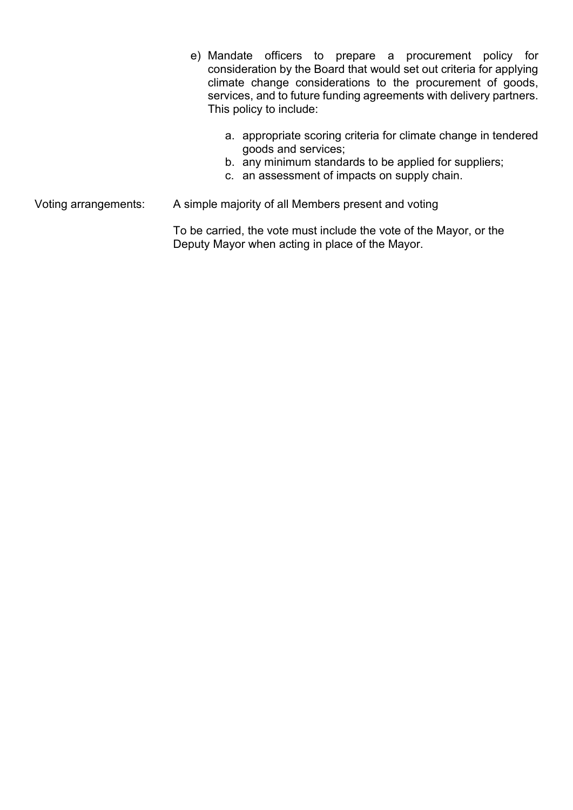- e) Mandate officers to prepare a procurement policy for consideration by the Board that would set out criteria for applying climate change considerations to the procurement of goods, services, and to future funding agreements with delivery partners. This policy to include:
	- a. appropriate scoring criteria for climate change in tendered goods and services;
	- b. any minimum standards to be applied for suppliers;
	- c. an assessment of impacts on supply chain.

Voting arrangements: A simple majority of all Members present and voting

To be carried, the vote must include the vote of the Mayor, or the Deputy Mayor when acting in place of the Mayor.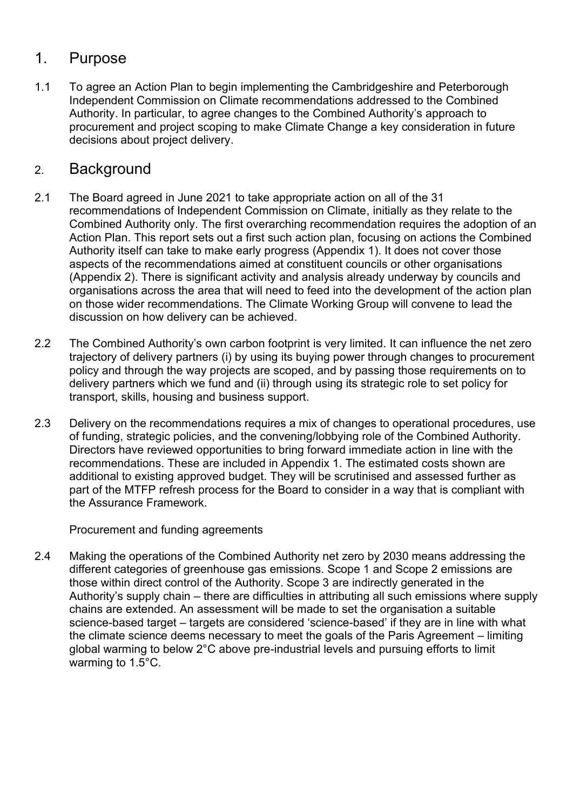# 1. Purpose

1.1 To agree an Action Plan to begin implementing the Cambridgeshire and Peterborough Independent Commission on Climate recommendations addressed to the Combined Authority. In particular, to agree changes to the Combined Authority's approach to procurement and project scoping to make Climate Change a key consideration in future decisions about project delivery.

# 2. Background

- 2.1 The Board agreed in June 2021 to take appropriate action on all of the 31 recommendations of Independent Commission on Climate, initially as they relate to the Combined Authority only. The first overarching recommendation requires the adoption of an Action Plan. This report sets out a first such action plan, focusing on actions the Combined Authority itself can take to make early progress (Appendix 1). It does not cover those aspects of the recommendations aimed at constituent councils or other organisations (Appendix 2). There is significant activity and analysis already underway by councils and organisations across the area that will need to feed into the development of the action plan on those wider recommendations. The Climate Working Group will convene to lead the discussion on how delivery can be achieved.
- 2.2 The Combined Authority's own carbon footprint is very limited. It can influence the net zero trajectory of delivery partners (i) by using its buying power through changes to procurement policy and through the way projects are scoped, and by passing those requirements on to delivery partners which we fund and (ii) through using its strategic role to set policy for transport, skills, housing and business support.
- 2.3 Delivery on the recommendations requires a mix of changes to operational procedures, use of funding, strategic policies, and the convening/lobbying role of the Combined Authority. Directors have reviewed opportunities to bring forward immediate action in line with the recommendations. These are included in Appendix 1. The estimated costs shown are additional to existing approved budget. They will be scrutinised and assessed further as part of the MTFP refresh process for the Board to consider in a way that is compliant with the Assurance Framework.

Procurement and funding agreements

2.4 Making the operations of the Combined Authority net zero by 2030 means addressing the different categories of greenhouse gas emissions. Scope 1 and Scope 2 emissions are those within direct control of the Authority. Scope 3 are indirectly generated in the Authority's supply chain – there are difficulties in attributing all such emissions where supply chains are extended. An assessment will be made to set the organisation a suitable science-based target – targets are considered 'science-based' if they are in line with what the climate science deems necessary to meet the goals of the Paris Agreement – limiting global warming to below 2°C above pre-industrial levels and pursuing efforts to limit warming to 1.5°C.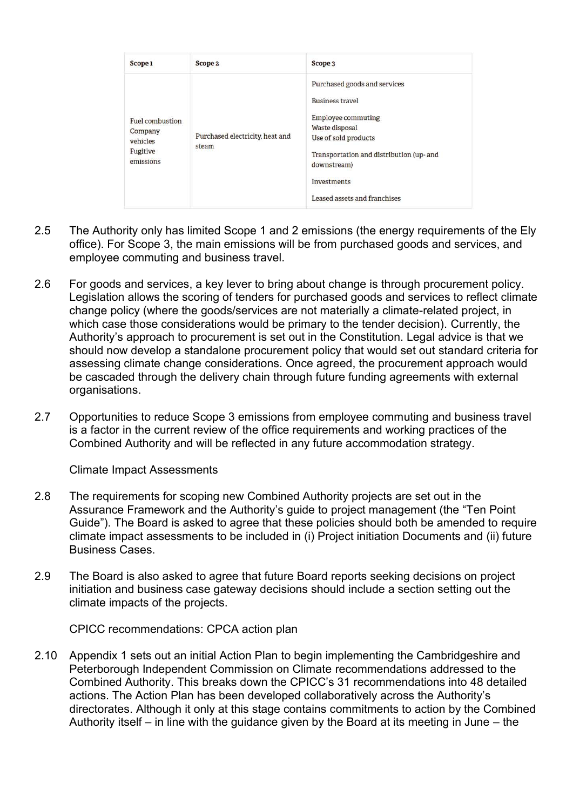| Scope 1                                                         | Scope 2                                  | Scope 3                                                                                                                                                                                                                          |
|-----------------------------------------------------------------|------------------------------------------|----------------------------------------------------------------------------------------------------------------------------------------------------------------------------------------------------------------------------------|
| Fuel combustion<br>Company<br>vehicles<br>Fugitive<br>emissions | Purchased electricity, heat and<br>steam | Purchased goods and services<br><b>Business travel</b><br>Employee commuting<br>Waste disposal<br>Use of sold products<br>Transportation and distribution (up- and<br>downstream)<br>Investments<br>Leased assets and franchises |

- 2.5 The Authority only has limited Scope 1 and 2 emissions (the energy requirements of the Ely office). For Scope 3, the main emissions will be from purchased goods and services, and employee commuting and business travel.
- 2.6 For goods and services, a key lever to bring about change is through procurement policy. Legislation allows the scoring of tenders for purchased goods and services to reflect climate change policy (where the goods/services are not materially a climate-related project, in which case those considerations would be primary to the tender decision). Currently, the Authority's approach to procurement is set out in the Constitution. Legal advice is that we should now develop a standalone procurement policy that would set out standard criteria for assessing climate change considerations. Once agreed, the procurement approach would be cascaded through the delivery chain through future funding agreements with external organisations.
- 2.7 Opportunities to reduce Scope 3 emissions from employee commuting and business travel is a factor in the current review of the office requirements and working practices of the Combined Authority and will be reflected in any future accommodation strategy.

Climate Impact Assessments

- 2.8 The requirements for scoping new Combined Authority projects are set out in the Assurance Framework and the Authority's guide to project management (the "Ten Point Guide"). The Board is asked to agree that these policies should both be amended to require climate impact assessments to be included in (i) Project initiation Documents and (ii) future Business Cases.
- 2.9 The Board is also asked to agree that future Board reports seeking decisions on project initiation and business case gateway decisions should include a section setting out the climate impacts of the projects.

CPICC recommendations: CPCA action plan

2.10 Appendix 1 sets out an initial Action Plan to begin implementing the Cambridgeshire and Peterborough Independent Commission on Climate recommendations addressed to the Combined Authority. This breaks down the CPICC's 31 recommendations into 48 detailed actions. The Action Plan has been developed collaboratively across the Authority's directorates. Although it only at this stage contains commitments to action by the Combined Authority itself – in line with the guidance given by the Board at its meeting in June – the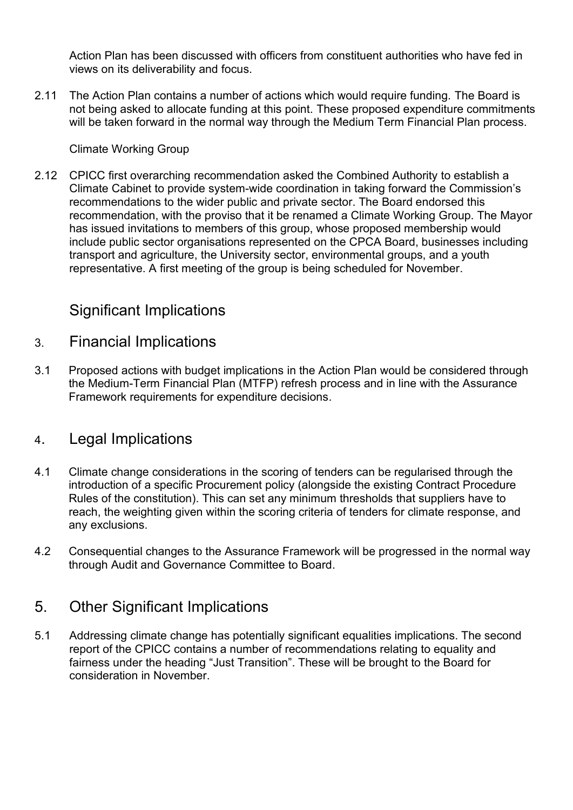Action Plan has been discussed with officers from constituent authorities who have fed in views on its deliverability and focus.

2.11 The Action Plan contains a number of actions which would require funding. The Board is not being asked to allocate funding at this point. These proposed expenditure commitments will be taken forward in the normal way through the Medium Term Financial Plan process.

#### Climate Working Group

2.12 CPICC first overarching recommendation asked the Combined Authority to establish a Climate Cabinet to provide system-wide coordination in taking forward the Commission's recommendations to the wider public and private sector. The Board endorsed this recommendation, with the proviso that it be renamed a Climate Working Group. The Mayor has issued invitations to members of this group, whose proposed membership would include public sector organisations represented on the CPCA Board, businesses including transport and agriculture, the University sector, environmental groups, and a youth representative. A first meeting of the group is being scheduled for November.

# Significant Implications

### 3. Financial Implications

3.1 Proposed actions with budget implications in the Action Plan would be considered through the Medium-Term Financial Plan (MTFP) refresh process and in line with the Assurance Framework requirements for expenditure decisions.

### 4. Legal Implications

- 4.1 Climate change considerations in the scoring of tenders can be regularised through the introduction of a specific Procurement policy (alongside the existing Contract Procedure Rules of the constitution). This can set any minimum thresholds that suppliers have to reach, the weighting given within the scoring criteria of tenders for climate response, and any exclusions.
- 4.2 Consequential changes to the Assurance Framework will be progressed in the normal way through Audit and Governance Committee to Board.

### 5. Other Significant Implications

5.1 Addressing climate change has potentially significant equalities implications. The second report of the CPICC contains a number of recommendations relating to equality and fairness under the heading "Just Transition". These will be brought to the Board for consideration in November.